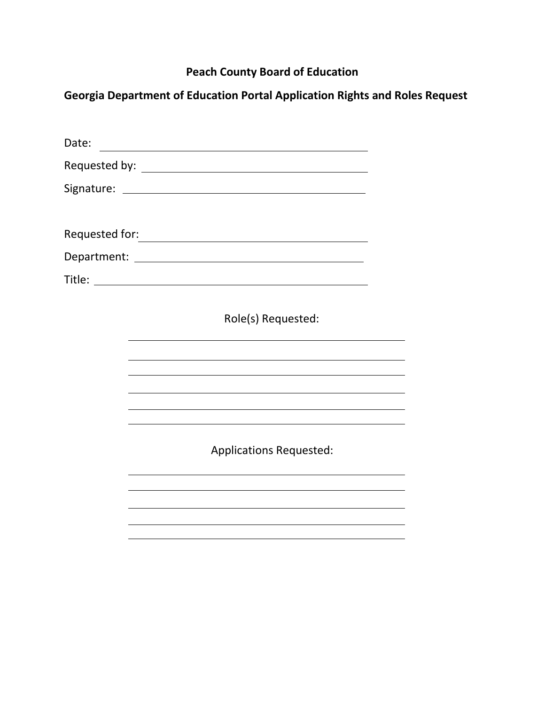# **Peach County Board of Education**

**Georgia Department of Education Portal Application Rights and Roles Request**

| Date: | <u> 1989 - Johann Barn, mars ann an t-Amhain an t-Amhain an t-Amhain an t-Amhain an t-Amhain an t-Amhain an t-Amh</u> |  |
|-------|-----------------------------------------------------------------------------------------------------------------------|--|
|       |                                                                                                                       |  |
|       |                                                                                                                       |  |
|       |                                                                                                                       |  |
|       |                                                                                                                       |  |
|       |                                                                                                                       |  |
|       |                                                                                                                       |  |
|       | Role(s) Requested:                                                                                                    |  |
|       |                                                                                                                       |  |
|       |                                                                                                                       |  |
|       |                                                                                                                       |  |
|       |                                                                                                                       |  |
|       | <b>Applications Requested:</b>                                                                                        |  |
|       |                                                                                                                       |  |
|       |                                                                                                                       |  |
|       |                                                                                                                       |  |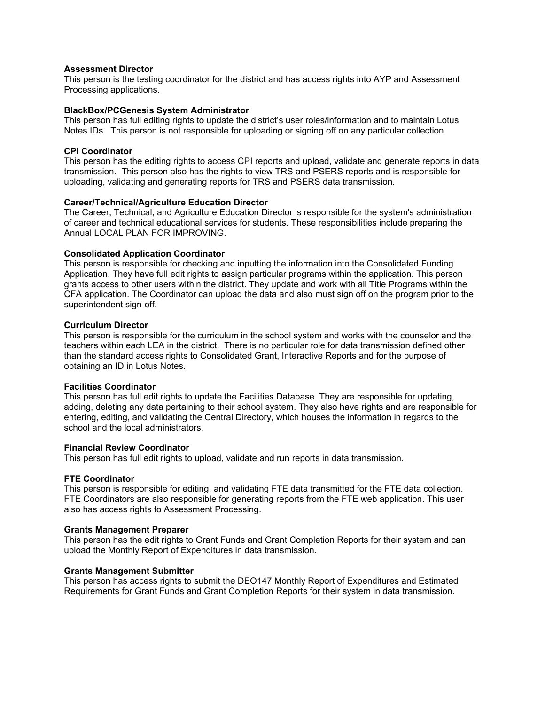## **Assessment Director**

This person is the testing coordinator for the district and has access rights into AYP and Assessment Processing applications.

## **BlackBox/PCGenesis System Administrator**

This person has full editing rights to update the district's user roles/information and to maintain Lotus Notes IDs. This person is not responsible for uploading or signing off on any particular collection.

#### **CPI Coordinator**

This person has the editing rights to access CPI reports and upload, validate and generate reports in data transmission. This person also has the rights to view TRS and PSERS reports and is responsible for uploading, validating and generating reports for TRS and PSERS data transmission.

## **Career/Technical/Agriculture Education Director**

The Career, Technical, and Agriculture Education Director is responsible for the system's administration of career and technical educational services for students. These responsibilities include preparing the Annual LOCAL PLAN FOR IMPROVING.

## **Consolidated Application Coordinator**

This person is responsible for checking and inputting the information into the Consolidated Funding Application. They have full edit rights to assign particular programs within the application. This person grants access to other users within the district. They update and work with all Title Programs within the CFA application. The Coordinator can upload the data and also must sign off on the program prior to the superintendent sign-off.

## **Curriculum Director**

This person is responsible for the curriculum in the school system and works with the counselor and the teachers within each LEA in the district. There is no particular role for data transmission defined other than the standard access rights to Consolidated Grant, Interactive Reports and for the purpose of obtaining an ID in Lotus Notes.

#### **Facilities Coordinator**

This person has full edit rights to update the Facilities Database. They are responsible for updating, adding, deleting any data pertaining to their school system. They also have rights and are responsible for entering, editing, and validating the Central Directory, which houses the information in regards to the school and the local administrators.

## **Financial Review Coordinator**

This person has full edit rights to upload, validate and run reports in data transmission.

#### **FTE Coordinator**

This person is responsible for editing, and validating FTE data transmitted for the FTE data collection. FTE Coordinators are also responsible for generating reports from the FTE web application. This user also has access rights to Assessment Processing.

#### **Grants Management Preparer**

This person has the edit rights to Grant Funds and Grant Completion Reports for their system and can upload the Monthly Report of Expenditures in data transmission.

## **Grants Management Submitter**

This person has access rights to submit the DEO147 Monthly Report of Expenditures and Estimated Requirements for Grant Funds and Grant Completion Reports for their system in data transmission.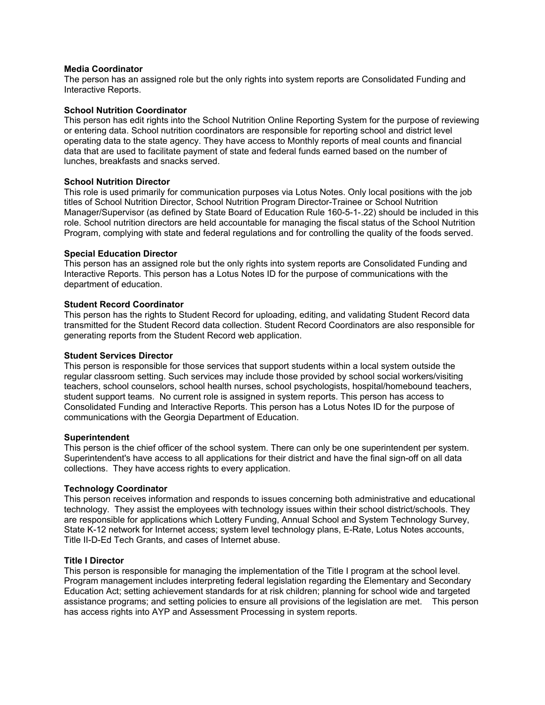## **Media Coordinator**

The person has an assigned role but the only rights into system reports are Consolidated Funding and Interactive Reports.

## **School Nutrition Coordinator**

This person has edit rights into the School Nutrition Online Reporting System for the purpose of reviewing or entering data. School nutrition coordinators are responsible for reporting school and district level operating data to the state agency. They have access to Monthly reports of meal counts and financial data that are used to facilitate payment of state and federal funds earned based on the number of lunches, breakfasts and snacks served.

## **School Nutrition Director**

This role is used primarily for communication purposes via Lotus Notes. Only local positions with the job titles of School Nutrition Director, School Nutrition Program Director-Trainee or School Nutrition Manager/Supervisor (as defined by State Board of Education Rule 160-5-1-.22) should be included in this role. School nutrition directors are held accountable for managing the fiscal status of the School Nutrition Program, complying with state and federal regulations and for controlling the quality of the foods served.

## **Special Education Director**

This person has an assigned role but the only rights into system reports are Consolidated Funding and Interactive Reports. This person has a Lotus Notes ID for the purpose of communications with the department of education.

## **Student Record Coordinator**

This person has the rights to Student Record for uploading, editing, and validating Student Record data transmitted for the Student Record data collection. Student Record Coordinators are also responsible for generating reports from the Student Record web application.

## **Student Services Director**

This person is responsible for those services that support students within a local system outside the regular classroom setting. Such services may include those provided by school social workers/visiting teachers, school counselors, school health nurses, school psychologists, hospital/homebound teachers, student support teams. No current role is assigned in system reports. This person has access to Consolidated Funding and Interactive Reports. This person has a Lotus Notes ID for the purpose of communications with the Georgia Department of Education.

#### **Superintendent**

This person is the chief officer of the school system. There can only be one superintendent per system. Superintendent's have access to all applications for their district and have the final sign-off on all data collections. They have access rights to every application.

#### **Technology Coordinator**

This person receives information and responds to issues concerning both administrative and educational technology. They assist the employees with technology issues within their school district/schools. They are responsible for applications which Lottery Funding, Annual School and System Technology Survey, State K-12 network for Internet access; system level technology plans, E-Rate, Lotus Notes accounts, Title II-D-Ed Tech Grants, and cases of Internet abuse.

#### **Title I Director**

This person is responsible for managing the implementation of the Title I program at the school level. Program management includes interpreting federal legislation regarding the Elementary and Secondary Education Act; setting achievement standards for at risk children; planning for school wide and targeted assistance programs; and setting policies to ensure all provisions of the legislation are met. This person has access rights into AYP and Assessment Processing in system reports.